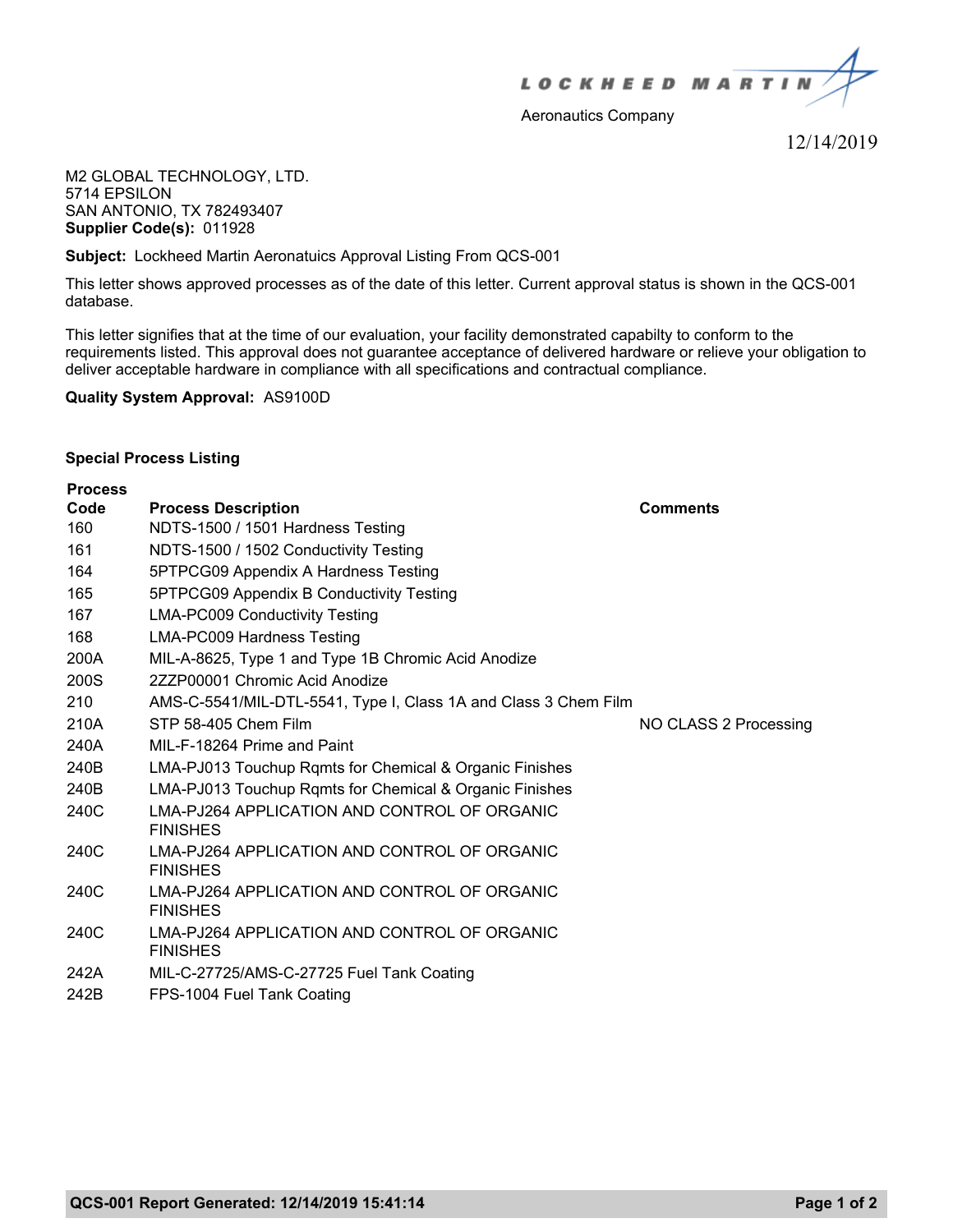

Aeronautics Company

12/14/2019

M2 GLOBAL TECHNOLOGY, LTD. 5714 EPSILON SAN ANTONIO, TX 782493407 **Supplier Code(s):** 011928

**Subject:** Lockheed Martin Aeronatuics Approval Listing From QCS-001

This letter shows approved processes as of the date of this letter. Current approval status is shown in the QCS-001 database.

This letter signifies that at the time of our evaluation, your facility demonstrated capabilty to conform to the requirements listed. This approval does not guarantee acceptance of delivered hardware or relieve your obligation to deliver acceptable hardware in compliance with all specifications and contractual compliance.

**Quality System Approval:** AS9100D

## **Special Process Listing**

| <b>Process</b> |                                                                 |                       |
|----------------|-----------------------------------------------------------------|-----------------------|
| Code           | <b>Process Description</b>                                      | <b>Comments</b>       |
| 160            | NDTS-1500 / 1501 Hardness Testing                               |                       |
| 161            | NDTS-1500 / 1502 Conductivity Testing                           |                       |
| 164            | 5PTPCG09 Appendix A Hardness Testing                            |                       |
| 165            | 5PTPCG09 Appendix B Conductivity Testing                        |                       |
| 167            | <b>LMA-PC009 Conductivity Testing</b>                           |                       |
| 168            | LMA-PC009 Hardness Testing                                      |                       |
| 200A           | MIL-A-8625, Type 1 and Type 1B Chromic Acid Anodize             |                       |
| 200S           | 2ZZP00001 Chromic Acid Anodize                                  |                       |
| 210            | AMS-C-5541/MIL-DTL-5541, Type I, Class 1A and Class 3 Chem Film |                       |
| 210A           | STP 58-405 Chem Film                                            | NO CLASS 2 Processing |
| 240A           | MIL-F-18264 Prime and Paint                                     |                       |
| 240B           | LMA-PJ013 Touchup Rqmts for Chemical & Organic Finishes         |                       |
| 240B           | LMA-PJ013 Touchup Rqmts for Chemical & Organic Finishes         |                       |
| 240C           | LMA-PJ264 APPLICATION AND CONTROL OF ORGANIC<br><b>FINISHES</b> |                       |
| 240C           | LMA-PJ264 APPLICATION AND CONTROL OF ORGANIC<br><b>FINISHES</b> |                       |
| 240C           | LMA-PJ264 APPLICATION AND CONTROL OF ORGANIC<br><b>FINISHES</b> |                       |
| 240C           | LMA-PJ264 APPLICATION AND CONTROL OF ORGANIC<br><b>FINISHES</b> |                       |
| 242A           | MIL-C-27725/AMS-C-27725 Fuel Tank Coating                       |                       |
| 242B           | FPS-1004 Fuel Tank Coating                                      |                       |